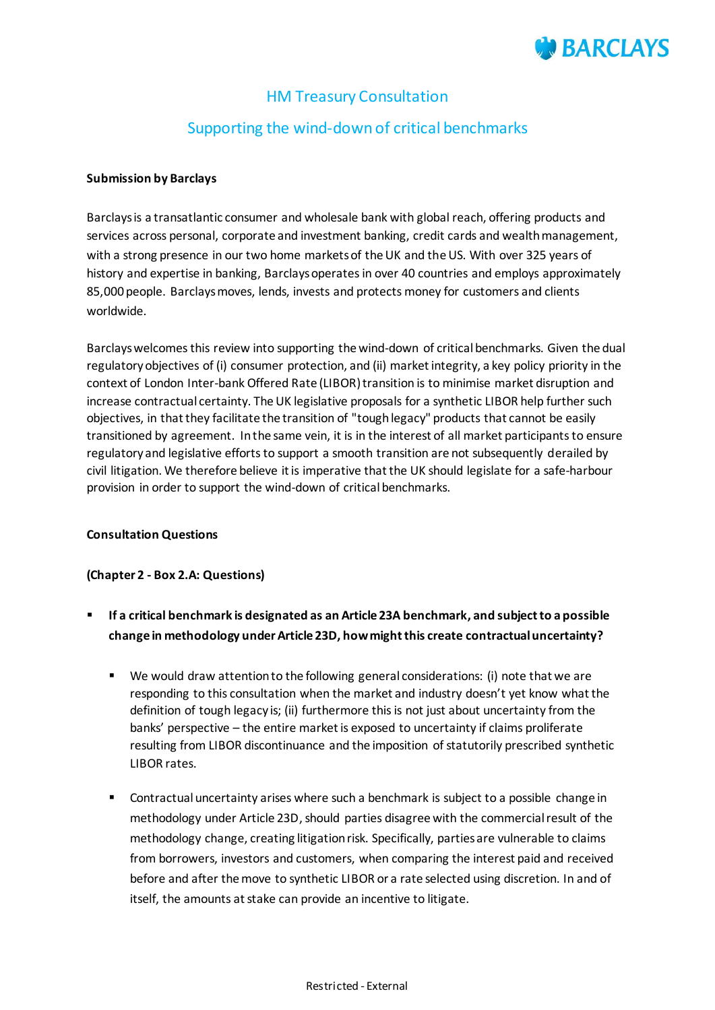

# HM Treasury Consultation

# Supporting the wind-down of critical benchmarks

#### **Submission by Barclays**

Barclays is a transatlantic consumer and wholesale bank with global reach, offering products and services across personal, corporate and investment banking, credit cards and wealth management, with a strong presence in our two home markets of the UK and the US. With over 325 years of history and expertise in banking, Barclays operates in over 40 countries and employs approximately 85,000 people. Barclays moves, lends, invests and protects money for customers and clients worldwide.

Barclays welcomes this review into supporting the wind-down of critical benchmarks. Given the dual regulatory objectives of (i) consumer protection, and (ii) market integrity, a key policy priority in the context of London Inter-bank Offered Rate (LIBOR) transition is to minimise market disruption and increase contractual certainty. The UK legislative proposals for a synthetic LIBOR help further such objectives, in that they facilitate the transition of "tough legacy" products that cannot be easily transitioned by agreement. In the same vein, it is in the interest of all market participants to ensure regulatory and legislative efforts to support a smooth transition are not subsequently derailed by civil litigation. We therefore believe it is imperative that the UK should legislate for a safe-harbour provision in order to support the wind-down of critical benchmarks.

#### **Consultation Questions**

### **(Chapter 2 - Box 2.A: Questions)**

- **If a critical benchmark is designated as an Article 23A benchmark, and subject to a possible change in methodology under Article 23D, how might this create contractual uncertainty?**
	- We would draw attention to the following general considerations: (i) note that we are responding to this consultation when the market and industry doesn't yet know what the definition of tough legacy is; (ii) furthermore this is not just about uncertainty from the banks' perspective – the entire market is exposed to uncertainty if claims proliferate resulting from LIBOR discontinuance and the imposition of statutorily prescribed synthetic LIBOR rates.
	- Contractual uncertainty arises where such a benchmark is subject to a possible change in methodology under Article 23D, should parties disagree with the commercial result of the methodology change, creating litigation risk. Specifically, parties are vulnerable to claims from borrowers, investors and customers, when comparing the interest paid and received before and after the move to synthetic LIBOR or a rate selected using discretion. In and of itself, the amounts at stake can provide an incentive to litigate.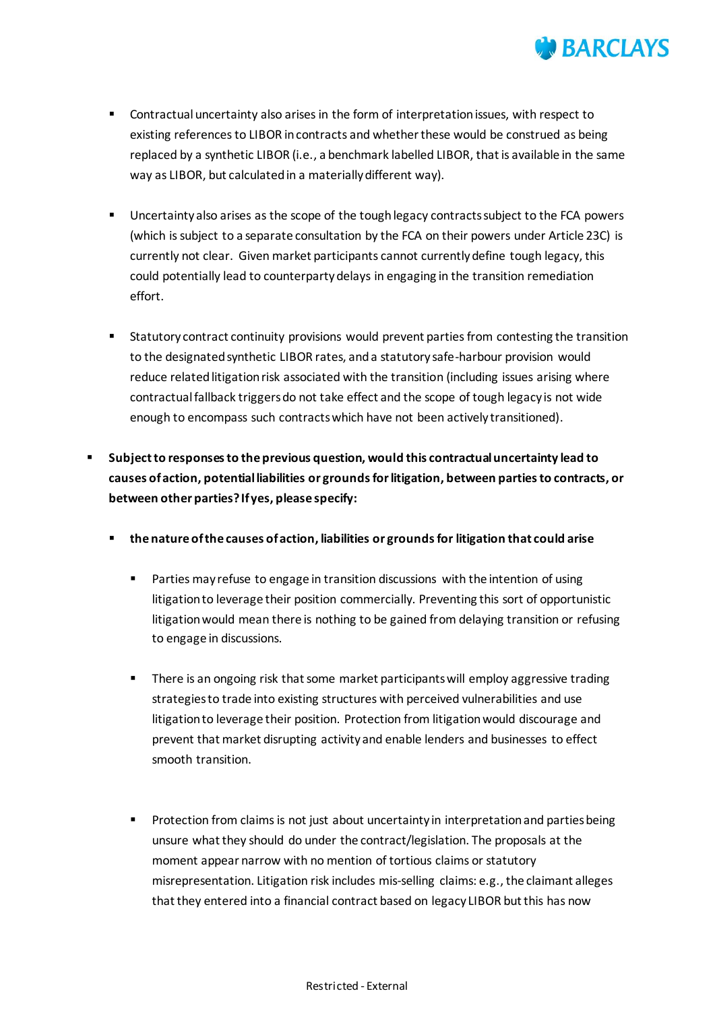

- Contractual uncertainty also arises in the form of interpretation issues, with respect to existing references to LIBOR in contracts and whether these would be construed as being replaced by a synthetic LIBOR (i.e., a benchmark labelled LIBOR, that is available in the same way as LIBOR, but calculated in a materially different way).
- Uncertainty also arises as the scope of the tough legacy contracts subject to the FCA powers (which is subject to a separate consultation by the FCA on their powers under Article 23C) is currently not clear. Given market participants cannot currently define tough legacy, this could potentially lead to counterparty delays in engaging in the transition remediation effort.
- Statutory contract continuity provisions would prevent parties from contesting the transition to the designated synthetic LIBOR rates, and a statutory safe-harbour provision would reduce related litigation risk associated with the transition (including issues arising where contractual fallback triggers do not take effect and the scope of tough legacy is not wide enough to encompass such contracts which have not been actively transitioned).
- **Subject to responses to the previous question, would this contractual uncertainty lead to causes of action, potential liabilities or grounds for litigation, between parties to contracts, or between other parties? If yes, please specify:**
	- **the nature of the causes of action, liabilities or grounds for litigation that could arise**
		- Parties may refuse to engage in transition discussions with the intention of using litigation to leverage their position commercially. Preventing this sort of opportunistic litigation would mean there is nothing to be gained from delaying transition or refusing to engage in discussions.
		- There is an ongoing risk that some market participants will employ aggressive trading strategies to trade into existing structures with perceived vulnerabilities and use litigation to leverage their position. Protection from litigation would discourage and prevent that market disrupting activity and enable lenders and businesses to effect smooth transition.
		- Protection from claims is not just about uncertainty in interpretation and parties being unsure what they should do under the contract/legislation. The proposals at the moment appear narrow with no mention of tortious claims or statutory misrepresentation. Litigation risk includes mis-selling claims: e.g., the claimant alleges that they entered into a financial contract based on legacy LIBOR but this has now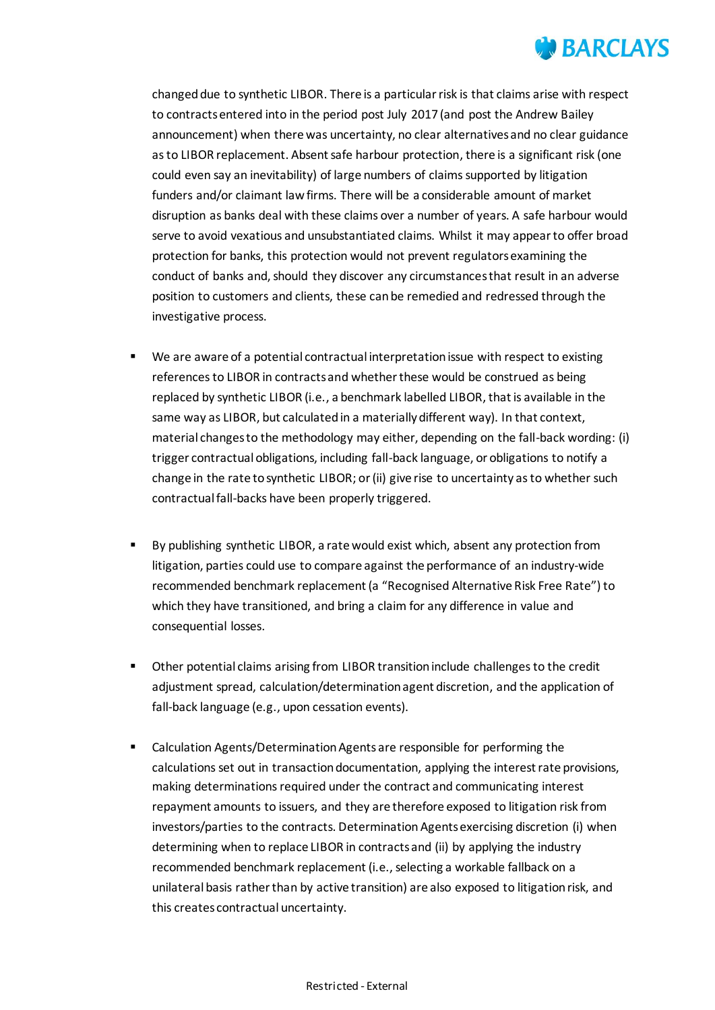

changed due to synthetic LIBOR. There is a particular risk is that claims arise with respect to contracts entered into in the period post July 2017 (and post the Andrew Bailey announcement) when there was uncertainty, no clear alternatives and no clear guidance as to LIBOR replacement. Absent safe harbour protection, there is a significant risk (one could even say an inevitability) of large numbers of claims supported by litigation funders and/or claimant law firms. There will be a considerable amount of market disruption as banks deal with these claims over a number of years. A safe harbour would serve to avoid vexatious and unsubstantiated claims. Whilst it may appear to offer broad protection for banks, this protection would not prevent regulators examining the conduct of banks and, should they discover any circumstances that result in an adverse position to customers and clients, these can be remedied and redressed through the investigative process.

- We are aware of a potential contractual interpretation issue with respect to existing references to LIBOR in contracts and whether these would be construed as being replaced by synthetic LIBOR (i.e., a benchmark labelled LIBOR, that is available in the same way as LIBOR, but calculated in a materially different way). In that context, material changes to the methodology may either, depending on the fall-back wording: (i) trigger contractual obligations, including fall-back language, or obligations to notify a change in the rate to synthetic LIBOR; or (ii) give rise to uncertainty as to whether such contractual fall-backs have been properly triggered.
- By publishing synthetic LIBOR, a rate would exist which, absent any protection from litigation, parties could use to compare against the performance of an industry-wide recommended benchmark replacement (a "Recognised Alternative Risk Free Rate") to which they have transitioned, and bring a claim for any difference in value and consequential losses.
- Other potential claims arising from LIBOR transition include challenges to the credit adjustment spread, calculation/determination agent discretion, and the application of fall-back language (e.g., upon cessation events).
- Calculation Agents/Determination Agents are responsible for performing the calculationsset out in transaction documentation, applying the interest rate provisions, making determinations required under the contract and communicating interest repayment amounts to issuers, and they are therefore exposed to litigation risk from investors/parties to the contracts. Determination Agents exercising discretion (i) when determining when to replace LIBOR in contracts and (ii) by applying the industry recommended benchmark replacement (i.e., selecting a workable fallback on a unilateral basis rather than by active transition) are also exposed to litigation risk, and this creates contractual uncertainty.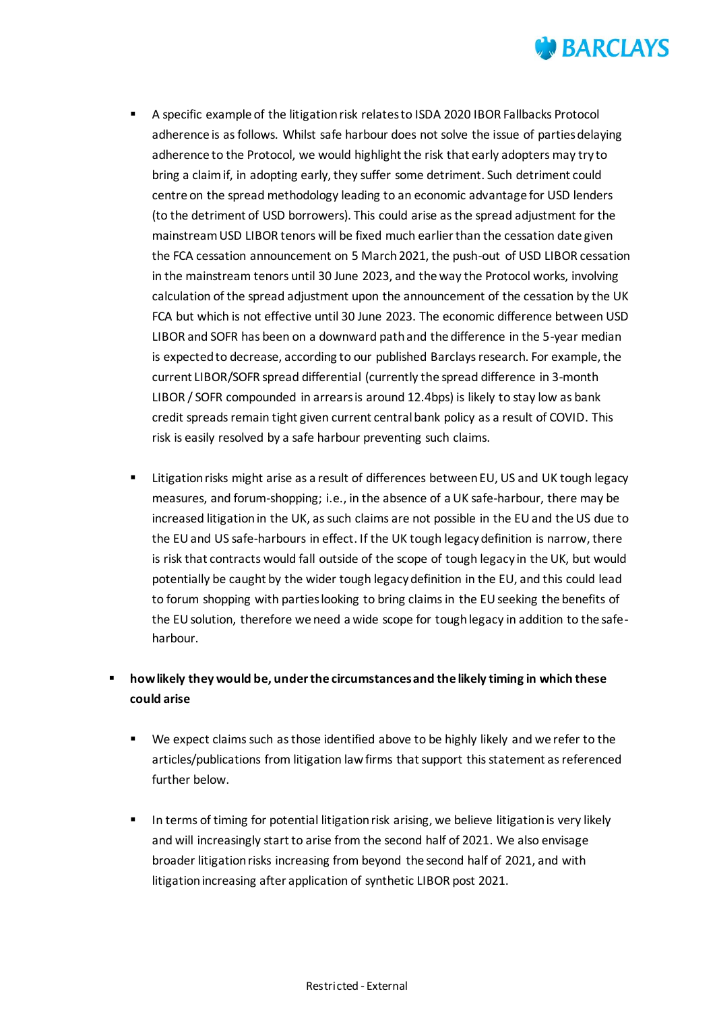

- A specific example of the litigation risk relates to ISDA 2020 IBOR Fallbacks Protocol adherence is as follows. Whilst safe harbour does not solve the issue of parties delaying adherence to the Protocol, we would highlight the risk that early adopters may try to bring a claim if, in adopting early, they suffer some detriment. Such detriment could centre on the spread methodology leading to an economic advantage for USD lenders (to the detriment of USD borrowers). This could arise as the spread adjustment for the mainstream USD LIBOR tenors will be fixed much earlier than the cessation date given the FCA cessation announcement on 5 March 2021, the push-out of USD LIBOR cessation in the mainstream tenors until 30 June 2023, and the way the Protocol works, involving calculation of the spread adjustment upon the announcement of the cessation by the UK FCA but which is not effective until 30 June 2023. The economic difference between USD LIBOR and SOFR has been on a downward path and the difference in the 5-year median is expected to decrease, according to our published Barclays research. For example, the current LIBOR/SOFR spread differential (currently the spread difference in 3-month LIBOR / SOFR compounded in arrears is around 12.4bps) is likely to stay low as bank credit spreads remain tight given current central bank policy as a result of COVID. This risk is easily resolved by a safe harbour preventing such claims.
- Litigation risks might arise as a result of differences between EU, US and UK tough legacy measures, and forum-shopping; i.e., in the absence of a UK safe-harbour, there may be increased litigation in the UK, as such claims are not possible in the EU and the US due to the EU and US safe-harbours in effect. If the UK tough legacy definition is narrow, there is risk that contracts would fall outside of the scope of tough legacy in the UK, but would potentially be caught by the wider tough legacy definition in the EU, and this could lead to forum shopping with parties looking to bring claims in the EU seeking the benefits of the EU solution, therefore we need a wide scope for tough legacy in addition to the safeharbour.

### **how likely they would be, under the circumstances and the likely timing in which these could arise**

- We expect claims such as those identified above to be highly likely and we refer to the articles/publications from litigation law firms that support this statement as referenced further below.
- In terms of timing for potential litigation risk arising, we believe litigation is very likely and will increasingly start to arise from the second half of 2021. We also envisage broader litigation risks increasing from beyond the second half of 2021, and with litigation increasing after application of synthetic LIBOR post 2021.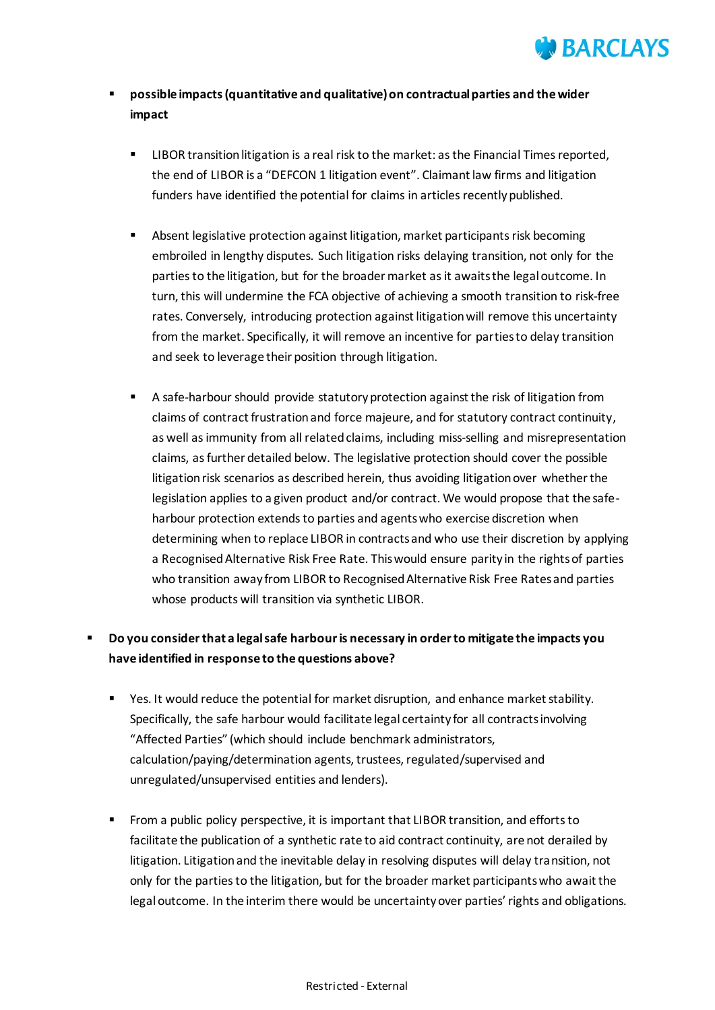

### **possible impacts (quantitative and qualitative) on contractual parties and the wider impact**

- LIBOR transition litigation is a real risk to the market: as the Financial Times reported, the end of LIBOR is a "DEFCON 1 litigation event". Claimant law firms and litigation funders have identified the potential for claims in articles recently published.
- Absent legislative protection against litigation, market participants risk becoming embroiled in lengthy disputes. Such litigation risks delaying transition, not only for the parties to the litigation, but for the broader market as it awaits the legal outcome. In turn, this will undermine the FCA objective of achieving a smooth transition to risk-free rates. Conversely, introducing protection against litigation will remove this uncertainty from the market. Specifically, it will remove an incentive for parties to delay transition and seek to leverage their position through litigation.
- A safe-harbour should provide statutory protection against the risk of litigation from claims of contract frustration and force majeure, and for statutory contract continuity, as well as immunity from all related claims, including miss-selling and misrepresentation claims, as further detailed below. The legislative protection should cover the possible litigation risk scenarios as described herein, thus avoiding litigation over whether the legislation applies to a given product and/or contract. We would propose that the safeharbour protection extends to parties and agents who exercise discretion when determining when to replace LIBOR in contracts and who use their discretion by applying a Recognised Alternative Risk Free Rate. This would ensure parity in the rights of parties who transition away from LIBOR to Recognised Alternative Risk Free Rates and parties whose products will transition via synthetic LIBOR.

## **Do you consider that a legal safe harbour is necessary in order to mitigate the impacts you have identified in response to the questions above?**

- Yes. It would reduce the potential for market disruption, and enhance market stability. Specifically, the safe harbour would facilitate legal certainty for all contracts involving "Affected Parties" (which should include benchmark administrators, calculation/paying/determination agents, trustees, regulated/supervised and unregulated/unsupervised entities and lenders).
- From a public policy perspective, it is important that LIBOR transition, and efforts to facilitate the publication of a synthetic rate to aid contract continuity, are not derailed by litigation. Litigation and the inevitable delay in resolving disputes will delay transition, not only for the parties to the litigation, but for the broader market participants who await the legal outcome. In the interim there would be uncertainty over parties' rights and obligations.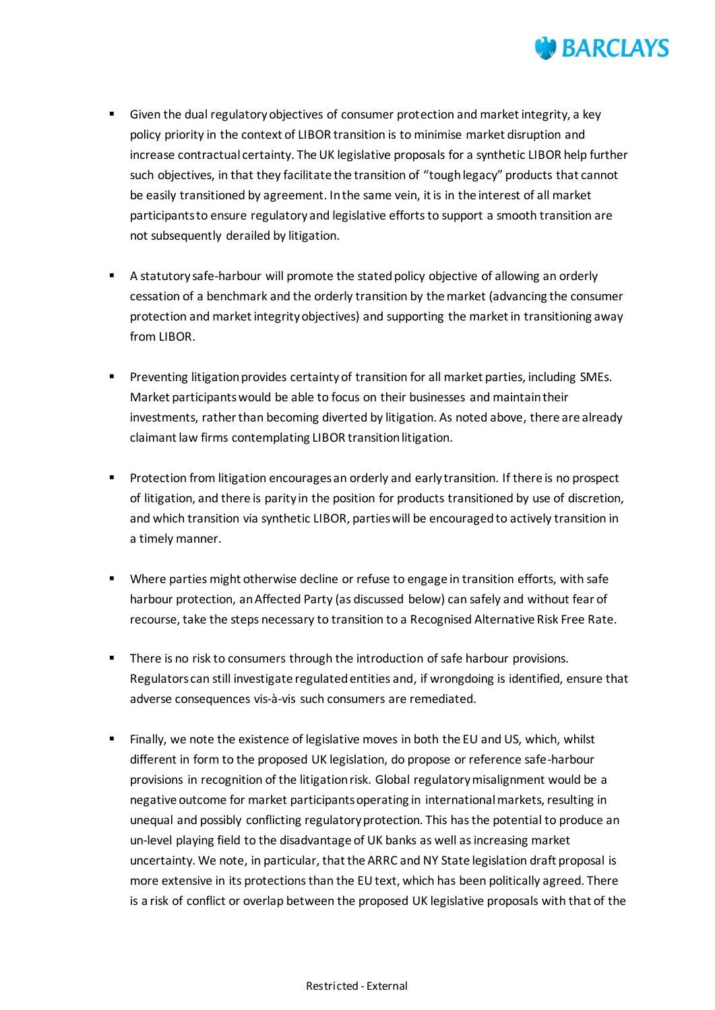

- Given the dual regulatory objectives of consumer protection and market integrity, a key policy priority in the context of LIBOR transition is to minimise market disruption and increase contractual certainty. The UK legislative proposals for a synthetic LIBOR help further such objectives, in that they facilitate the transition of "tough legacy" products that cannot be easily transitioned by agreement. In the same vein, it is in the interest of all market participants to ensure regulatory and legislative efforts to support a smooth transition are not subsequently derailed by litigation.
- A statutory safe-harbour will promote the stated policy objective of allowing an orderly cessation of a benchmark and the orderly transition by the market (advancing the consumer protection and market integrity objectives) and supporting the market in transitioning away from LIBOR.
- **Preventing litigation provides certainty of transition for all market parties, including SMEs.** Market participants would be able to focus on their businesses and maintain their investments, rather than becoming diverted by litigation. As noted above, there are already claimant law firms contemplating LIBOR transition litigation.
- **Protection from litigation encourages an orderly and early transition. If there is no prospect** of litigation, and there is parity in the position for products transitioned by use of discretion, and which transition via synthetic LIBOR, parties will be encouraged to actively transition in a timely manner.
- Where parties might otherwise decline or refuse to engage in transition efforts, with safe harbour protection, an Affected Party (as discussed below) can safely and without fear of recourse, take the steps necessary to transition to a Recognised Alternative Risk Free Rate.
- **There is no risk to consumers through the introduction of safe harbour provisions.** Regulators can still investigate regulated entities and, if wrongdoing is identified, ensure that adverse consequences vis-à-vis such consumers are remediated.
- Finally, we note the existence of legislative moves in both the EU and US, which, whilst different in form to the proposed UK legislation, do propose or reference safe-harbour provisions in recognition of the litigation risk. Global regulatory misalignment would be a negative outcome for market participants operating in international markets, resulting in unequal and possibly conflicting regulatory protection. This has the potential to produce an un-level playing field to the disadvantage of UK banks as well as increasing market uncertainty. We note, in particular, that the ARRC and NY State legislation draft proposal is more extensive in its protections than the EU text, which has been politically agreed. There is a risk of conflict or overlap between the proposed UK legislative proposals with that of the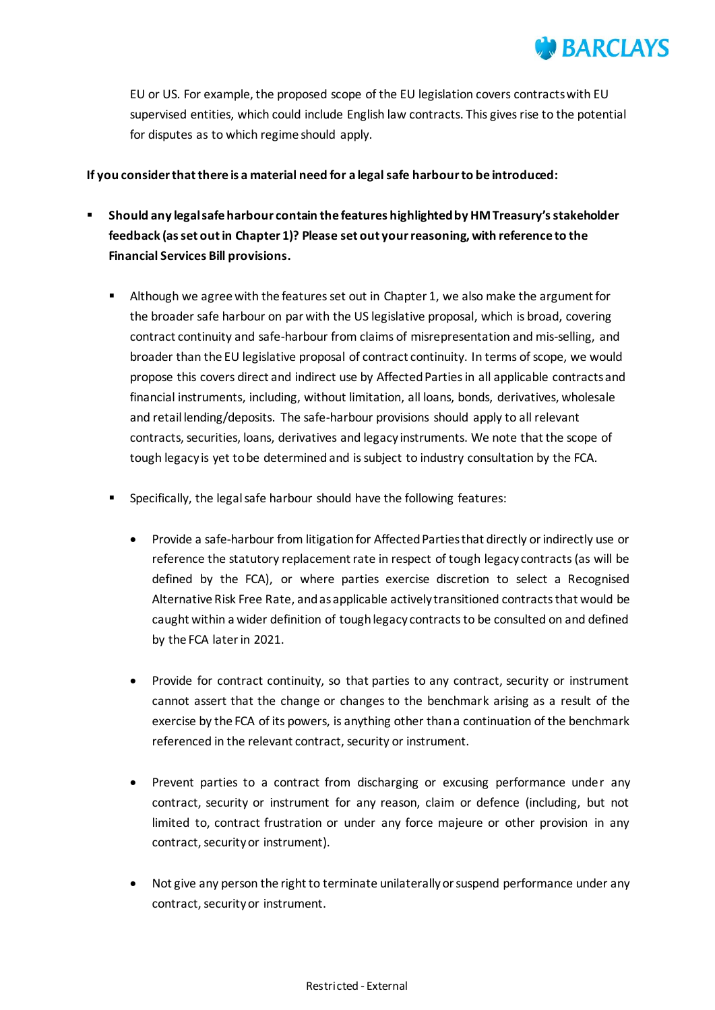

EU or US. For example, the proposed scope of the EU legislation covers contracts with EU supervised entities, which could include English law contracts. This gives rise to the potential for disputes as to which regime should apply.

#### **If you consider that there is a material need for a legal safe harbour to be introduced:**

- **Should any legal safe harbour contain the features highlighted by HM Treasury's stakeholder feedback (as set out in Chapter 1)? Please set out your reasoning, with reference to the Financial Services Bill provisions.**
	- Although we agree with the features set out in Chapter 1, we also make the argument for the broader safe harbour on par with the US legislative proposal, which is broad, covering contract continuity and safe-harbour from claims of misrepresentation and mis-selling, and broader than the EU legislative proposal of contract continuity. In terms of scope, we would propose this covers direct and indirect use by Affected Parties in all applicable contracts and financial instruments, including, without limitation, all loans, bonds, derivatives, wholesale and retail lending/deposits. The safe-harbour provisions should apply to all relevant contracts, securities, loans, derivatives and legacy instruments. We note that the scope of tough legacy is yet to be determined and is subject to industry consultation by the FCA.
	- Specifically, the legal safe harbour should have the following features:
		- Provide a safe-harbour from litigation for Affected Parties that directly or indirectly use or reference the statutory replacement rate in respect of tough legacy contracts (as will be defined by the FCA), or where parties exercise discretion to select a Recognised Alternative Risk Free Rate, and as applicable actively transitioned contractsthat would be caught within a wider definition of tough legacy contracts to be consulted on and defined by the FCA later in 2021.
		- Provide for contract continuity, so that parties to any contract, security or instrument cannot assert that the change or changes to the benchmark arising as a result of the exercise by the FCA of its powers, is anything other than a continuation of the benchmark referenced in the relevant contract, security or instrument.
		- Prevent parties to a contract from discharging or excusing performance under any contract, security or instrument for any reason, claim or defence (including, but not limited to, contract frustration or under any force majeure or other provision in any contract, security or instrument).
		- Not give any person the right to terminate unilaterally or suspend performance under any contract, security or instrument.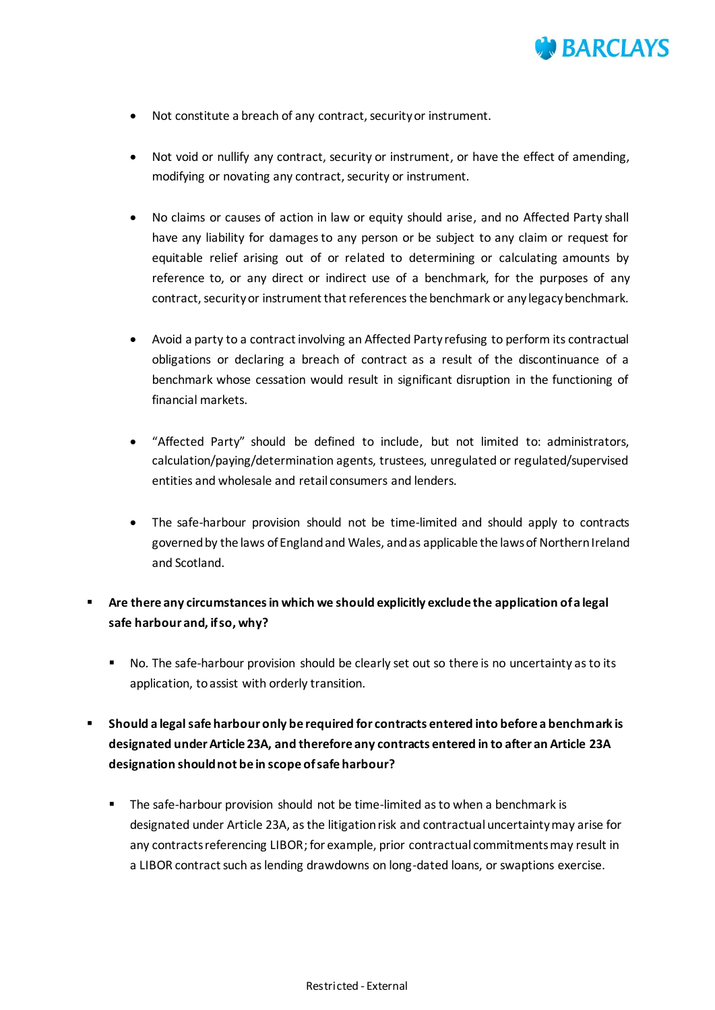

- Not constitute a breach of any contract, security or instrument.
- Not void or nullify any contract, security or instrument, or have the effect of amending, modifying or novating any contract, security or instrument.
- No claims or causes of action in law or equity should arise, and no Affected Party shall have any liability for damages to any person or be subject to any claim or request for equitable relief arising out of or related to determining or calculating amounts by reference to, or any direct or indirect use of a benchmark, for the purposes of any contract, security or instrument that references the benchmark or any legacy benchmark.
- Avoid a party to a contract involving an Affected Party refusing to perform its contractual obligations or declaring a breach of contract as a result of the discontinuance of a benchmark whose cessation would result in significant disruption in the functioning of financial markets.
- "Affected Party" should be defined to include, but not limited to: administrators, calculation/paying/determination agents, trustees, unregulated or regulated/supervised entities and wholesale and retail consumers and lenders.
- The safe-harbour provision should not be time-limited and should apply to contracts governed by the laws of England and Wales, and as applicable the laws of Northern Ireland and Scotland.
- **Are there any circumstances in which we should explicitly exclude the application of a legal safe harbour and, if so, why?**
	- No. The safe-harbour provision should be clearly set out so there is no uncertainty as to its application, to assist with orderly transition.
- **Should a legal safe harbour only be required for contracts entered into before a benchmark is designated under Article 23A, and therefore any contracts entered in to after an Article 23A designation should not be in scope of safe harbour?**
	- **The safe-harbour provision should not be time-limited as to when a benchmark is** designated under Article 23A, as the litigation risk and contractual uncertainty may arise for any contracts referencing LIBOR; for example, prior contractual commitments may result in a LIBOR contract such as lending drawdowns on long-dated loans, or swaptions exercise.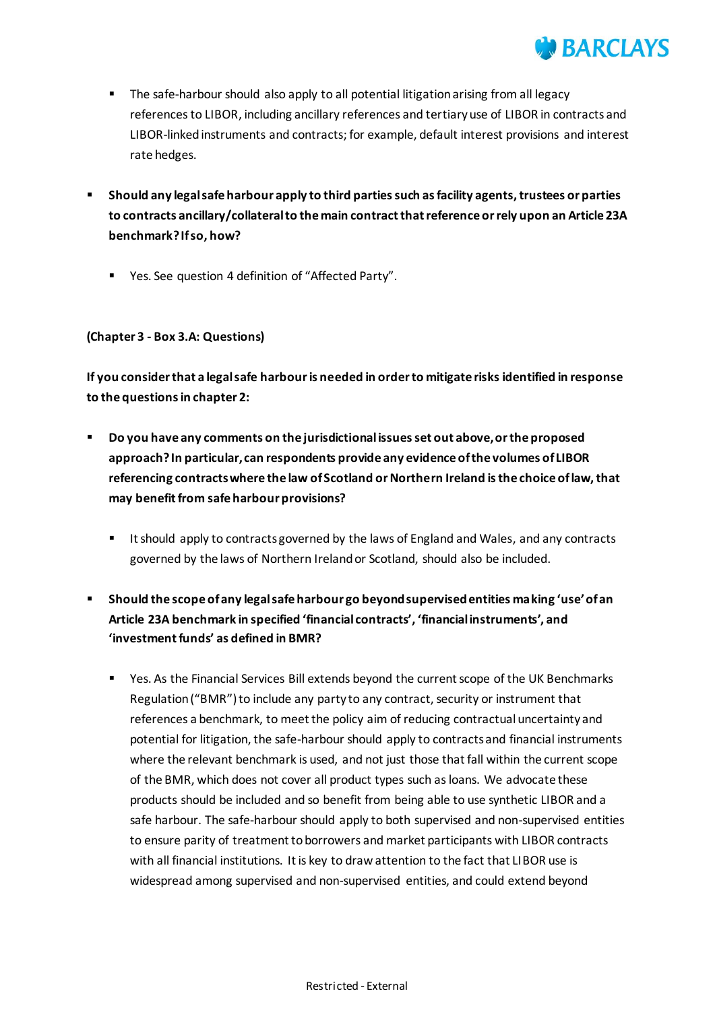

- The safe-harbour should also apply to all potential litigation arising from all legacy references to LIBOR, including ancillary references and tertiary use of LIBOR in contracts and LIBOR-linked instruments and contracts; for example, default interest provisions and interest rate hedges.
- **Should any legal safe harbour apply to third parties such as facility agents, trustees or parties to contracts ancillary/collateral to the main contract that reference or rely upon an Article 23A benchmark?If so, how?**
	- Yes. See question 4 definition of "Affected Party".

### **(Chapter 3 - Box 3.A: Questions)**

**If you consider that a legal safe harbour is needed in order to mitigate risks identified in response to the questions in chapter 2:**

- **Do you have any comments on the jurisdictional issues set out above, or the proposed approach? In particular, can respondents provide any evidence of the volumes of LIBOR referencing contracts where the law of Scotland or Northern Ireland is the choice of law, that may benefit from safe harbour provisions?**
	- It should apply to contracts governed by the laws of England and Wales, and any contracts governed by the laws of Northern Ireland or Scotland, should also be included.
- **Should the scope of any legal safe harbour go beyond supervised entities making 'use' of an Article 23A benchmark in specified 'financial contracts', 'financial instruments', and 'investment funds' as defined in BMR?**
	- Yes. As the Financial Services Bill extends beyond the current scope of the UK Benchmarks Regulation ("BMR") to include any party to any contract, security or instrument that references a benchmark, to meet the policy aim of reducing contractual uncertainty and potential for litigation, the safe-harbour should apply to contracts and financial instruments where the relevant benchmark is used, and not just those that fall within the current scope of the BMR, which does not cover all product types such as loans. We advocate these products should be included and so benefit from being able to use synthetic LIBOR and a safe harbour. The safe-harbour should apply to both supervised and non-supervised entities to ensure parity of treatment to borrowers and market participants with LIBOR contracts with all financial institutions. It is key to draw attention to the fact that LIBOR use is widespread among supervised and non-supervised entities, and could extend beyond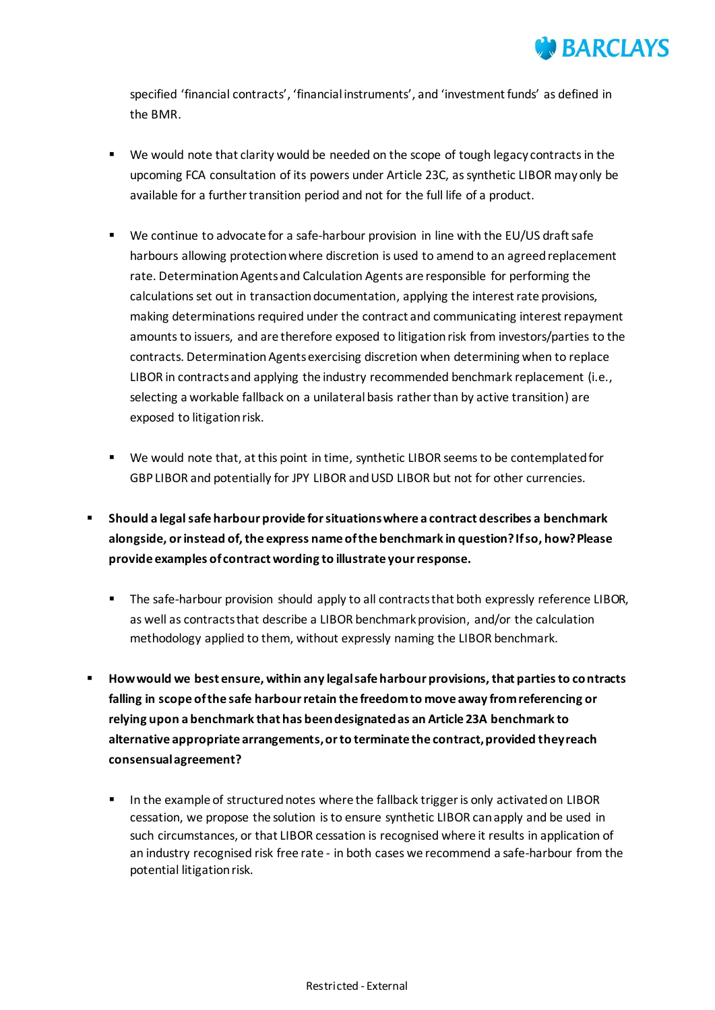

specified 'financial contracts', 'financial instruments', and 'investment funds' as defined in the BMR.

- We would note that clarity would be needed on the scope of tough legacy contractsin the upcoming FCA consultation of its powers under Article 23C, assynthetic LIBOR may only be available for a further transition period and not for the full life of a product.
- We continue to advocate for a safe-harbour provision in line with the EU/US draft safe harbours allowing protection where discretion is used to amend to an agreed replacement rate. Determination Agents and Calculation Agents are responsible for performing the calculations set out in transaction documentation, applying the interest rate provisions, making determinations required under the contract and communicating interest repayment amounts to issuers, and are therefore exposed to litigation risk from investors/parties to the contracts. Determination Agents exercising discretion when determining when to replace LIBOR in contracts and applying the industry recommended benchmark replacement (i.e., selecting a workable fallback on a unilateral basis rather than by active transition) are exposed to litigation risk.
- We would note that, at this point in time, synthetic LIBOR seems to be contemplated for GBP LIBOR and potentially for JPY LIBOR and USD LIBOR but not for other currencies.
- **Should a legal safe harbour provide for situations where a contract describes a benchmark alongside, or instead of, the express name of the benchmark in question? If so, how? Please provide examples of contract wording to illustrate your response.**
	- The safe-harbour provision should apply to all contracts that both expressly reference LIBOR, as well as contracts that describe a LIBOR benchmark provision, and/or the calculation methodology applied to them, without expressly naming the LIBOR benchmark.
- **How would we best ensure, within any legal safe harbour provisions, that parties to contracts falling in scope of the safe harbour retain the freedom to move away from referencing or relying upon a benchmark that has been designated as an Article 23A benchmark to alternative appropriate arrangements, or to terminate the contract, provided they reach consensual agreement?**
	- In the example of structured notes where the fallback trigger is only activated on LIBOR cessation, we propose the solution is to ensure synthetic LIBOR can apply and be used in such circumstances, or that LIBOR cessation is recognised where it results in application of an industry recognised risk free rate - in both cases we recommend a safe-harbour from the potential litigation risk.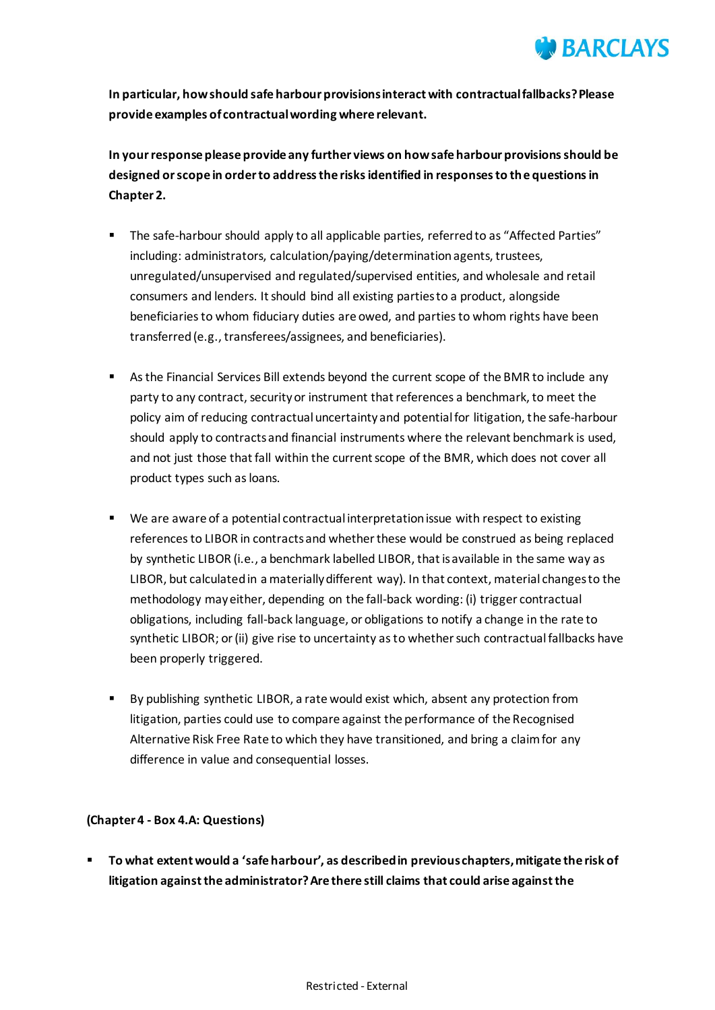

**In particular, how should safe harbour provisions interact with contractual fallbacks? Please provide examples of contractual wording where relevant.**

**In your response please provide any further views on how safe harbour provisions should be designed or scope in order to address the risks identified in responses to the questions in Chapter 2.**

- The safe-harbour should apply to all applicable parties, referred to as "Affected Parties" including: administrators, calculation/paying/determination agents, trustees, unregulated/unsupervised and regulated/supervised entities, and wholesale and retail consumers and lenders. It should bind all existing parties to a product, alongside beneficiaries to whom fiduciary duties are owed, and parties to whom rights have been transferred (e.g., transferees/assignees, and beneficiaries).
- As the Financial Services Bill extends beyond the current scope of the BMR to include any party to any contract, security or instrument that references a benchmark, to meet the policy aim of reducing contractual uncertainty and potential for litigation, the safe-harbour should apply to contracts and financial instruments where the relevant benchmark is used, and not just those that fall within the current scope of the BMR, which does not cover all product types such as loans.
- We are aware of a potential contractual interpretation issue with respect to existing references to LIBOR in contracts and whether these would be construed as being replaced by synthetic LIBOR (i.e., a benchmark labelled LIBOR, that is available in the same way as LIBOR, but calculated in a materially different way). In that context, material changes to the methodology may either, depending on the fall-back wording: (i) trigger contractual obligations, including fall-back language, or obligations to notify a change in the rate to synthetic LIBOR; or (ii) give rise to uncertainty as to whether such contractual fallbacks have been properly triggered.
- By publishing synthetic LIBOR, a rate would exist which, absent any protection from litigation, parties could use to compare against the performance of the Recognised Alternative Risk Free Rate to which they have transitioned, and bring a claim for any difference in value and consequential losses.

#### **(Chapter 4 - Box 4.A: Questions)**

 **To what extent would a 'safe harbour', as described in previous chapters, mitigate the risk of litigation against the administrator? Are there still claims that could arise against the**